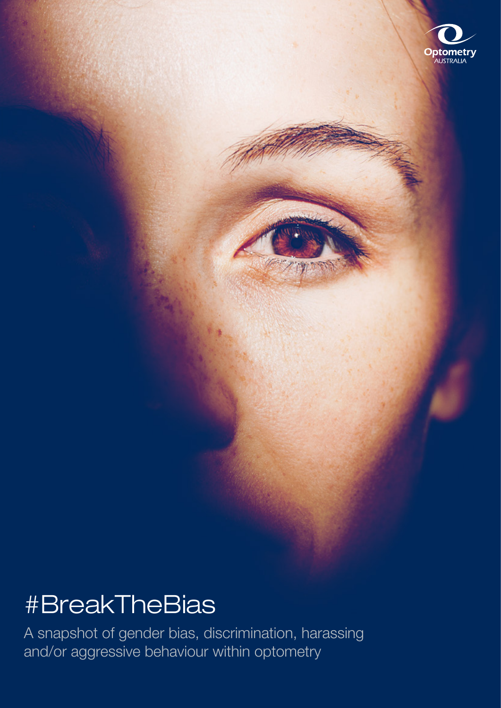

# #BreakTheBias

A snapshot of gender bias, discrimination, harassing and/or aggressive behaviour within optometry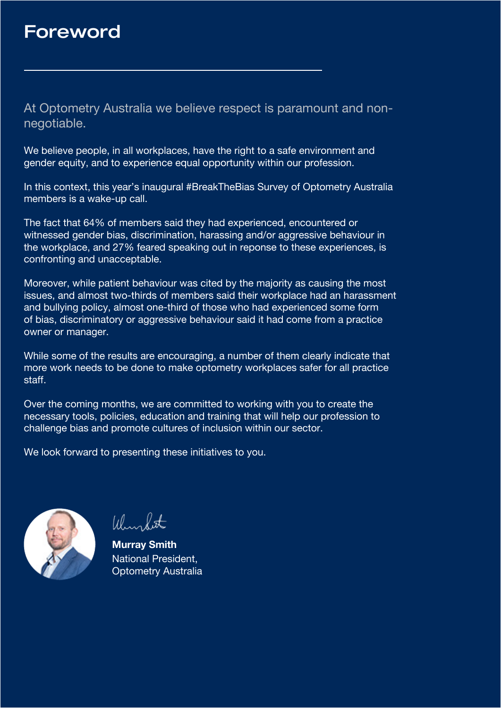#### At Optometry Australia we believe respect is paramount and nonnegotiable.

We believe people, in all workplaces, have the right to a safe environment and gender equity, and to experience equal opportunity within our profession.

In this context, this year's inaugural #BreakTheBias Survey of Optometry Australia members is a wake-up call.

The fact that 64% of members said they had experienced, encountered or witnessed gender bias, discrimination, harassing and/or aggressive behaviour in the workplace, and 27% feared speaking out in reponse to these experiences, is confronting and unacceptable.

Moreover, while patient behaviour was cited by the majority as causing the most issues, and almost two-thirds of members said their workplace had an harassment and bullying policy, almost one-third of those who had experienced some form of bias, discriminatory or aggressive behaviour said it had come from a practice owner or manager.

While some of the results are encouraging, a number of them clearly indicate that more work needs to be done to make optometry workplaces safer for all practice staff.

Over the coming months, we are committed to working with you to create the necessary tools, policies, education and training that will help our profession to challenge bias and promote cultures of inclusion within our sector.

We look forward to presenting these initiatives to you.



Winket

Murray Smith National President, Optometry Australia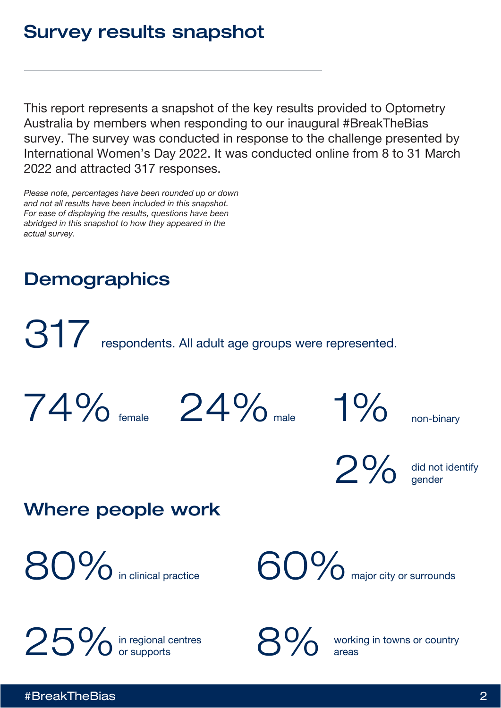### Survey results snapshot

This report represents a snapshot of the key results provided to Optometry Australia by members when responding to our inaugural #BreakTheBias survey. The survey was conducted in response to the challenge presented by International Women's Day 2022. It was conducted online from 8 to 31 March 2022 and attracted 317 responses.

Please note, percentages have been rounded up or down and not all results have been included in this snapshot. For ease of displaying the results, questions have been abridged in this snapshot to how they appeared in the actual survey.

### **Demographics**

317 respondents. All adult age groups were represented.







 $2\%$  did not

did not identify

### Where people work

80% in clinical practice

60% major city or surrounds

in regional centres 25% in regional of

8%

working in towns or country areas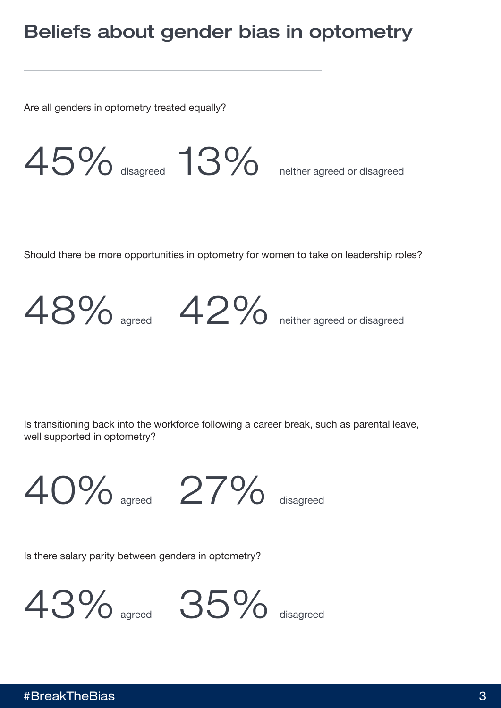### Beliefs about gender bias in optometry

Are all genders in optometry treated equally?

45% disagreed 13% neither agreed or disagreed

Should there be more opportunities in optometry for women to take on leadership roles?

48% agreed 42% neither agreed or disagreed

Is transitioning back into the workforce following a career break, such as parental leave, well supported in optometry?

40% agreed 27% disagreed



Is there salary parity between genders in optometry?

43% agreed 35% disagreed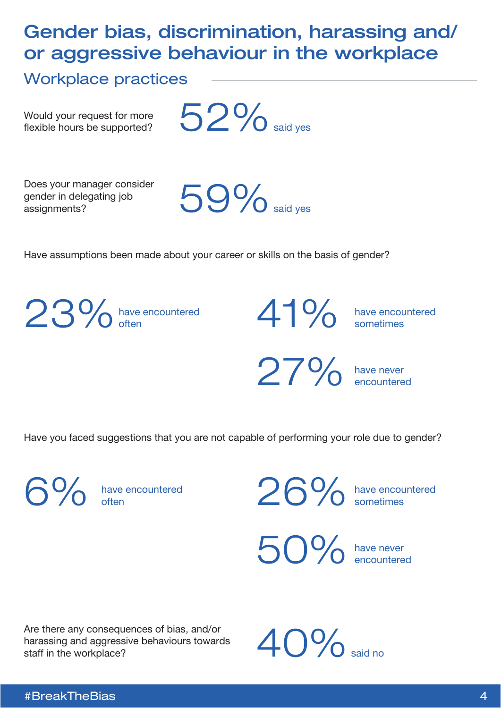### Gender bias, discrimination, harassing and/ or aggressive behaviour in the workplace

#### Workplace practices

Would your request for more flexible hours be supported?



Does your manager consider gender in delegating job assignments?



Have assumptions been made about your career or skills on the basis of gender?

have encountered 41% have encou have never 27% have never have encountered 23% have

Have you faced suggestions that you are not capable of performing your role due to gender?

 $6\%$  have

have encountered

26% have encou

have encountered

have never 50% have never

Are there any consequences of bias, and/or harassing and aggressive behaviours towards staff in the workplace?

40% said no

#BreakTheBias 4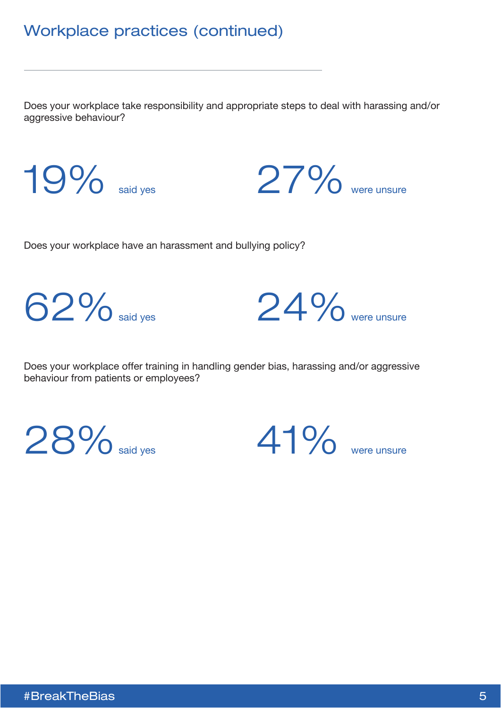#### Workplace practices (continued)

Does your workplace take responsibility and appropriate steps to deal with harassing and/or aggressive behaviour?

19% said yes



Does your workplace have an harassment and bullying policy?

62% said yes



Does your workplace offer training in handling gender bias, harassing and/or aggressive behaviour from patients or employees?

28% said yes

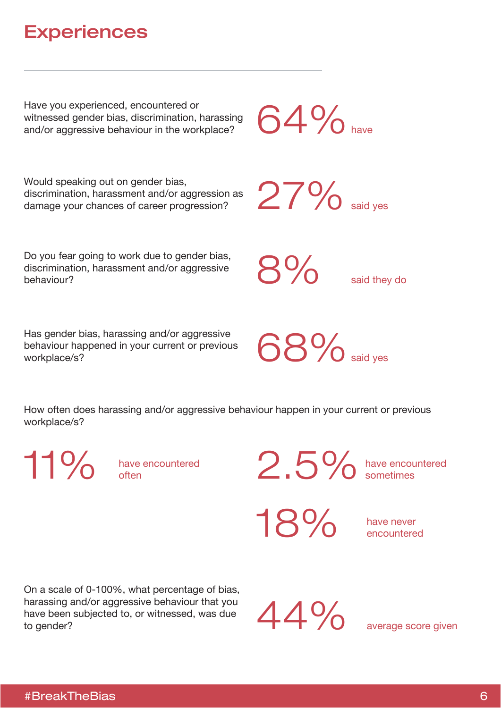## **Experiences**

Have you experienced, encountered or witnessed gender bias, discrimination, harassing and/or aggressive behaviour in the workplace?

64% have

Would speaking out on gender bias, discrimination, harassment and/or aggression as damage your chances of career progression?

Do you fear going to work due to gender bias, discrimination, harassment and/or aggressive behaviour?

Has gender bias, harassing and/or aggressive behaviour happened in your current or previous workplace/s?

27% said yes

8%

said they do

68% said yes

How often does harassing and/or aggressive behaviour happen in your current or previous workplace/s?

11%

have encountered

have encountered have encountered 2.5% have encountered eften

18%

have never encountered

On a scale of 0-100%, what percentage of bias, harassing and/or aggressive behaviour that you have been subjected to, or witnessed, was due to gender?

44%

average score given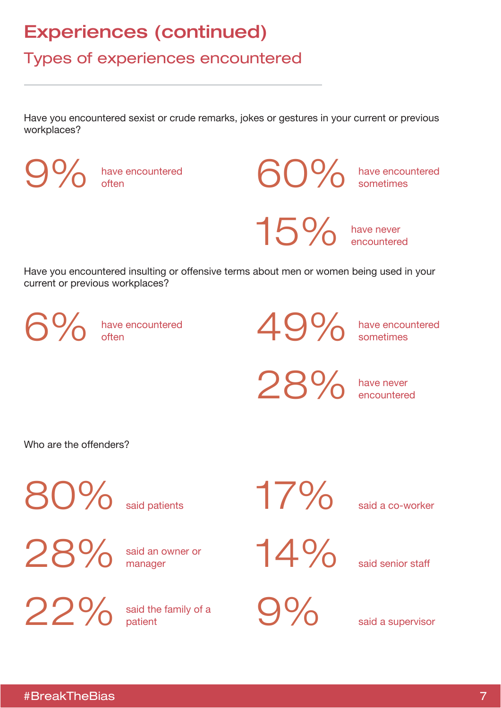### Experiences (continued)

### Types of experiences encountered

Have you encountered sexist or crude remarks, jokes or gestures in your current or previous workplaces?

Have you encountered insulting or offensive terms about men or women being used in your current or previous workplaces? have encountered 60% have encou have never 15% have never have encountered  $9\%$  have

 $6\%$  have

have encountered

49% have encou

have never 28% have never

have encountered

Who are the offenders?

 $80\%$  said patients

said an owner or

said the family of a 22% said the family of a<br>
9% said a supervisor

 $17\%$  said a co-worker

 $14\%$  said senior staff 28% said an owner or 14%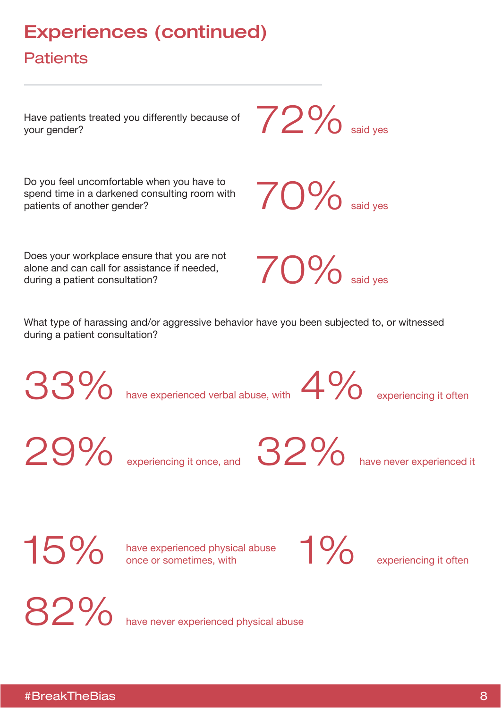Have patients treated you differently because of vour gender?

Do you feel uncomfortable when you have to spend time in a darkened consulting room with patients of another gender?

Does your workplace ensure that you are not alone and can call for assistance if needed, during a patient consultation?

72% said yes

70% said yes

70% said yes

What type of harassing and/or aggressive behavior have you been subjected to, or witnessed during a patient consultation?

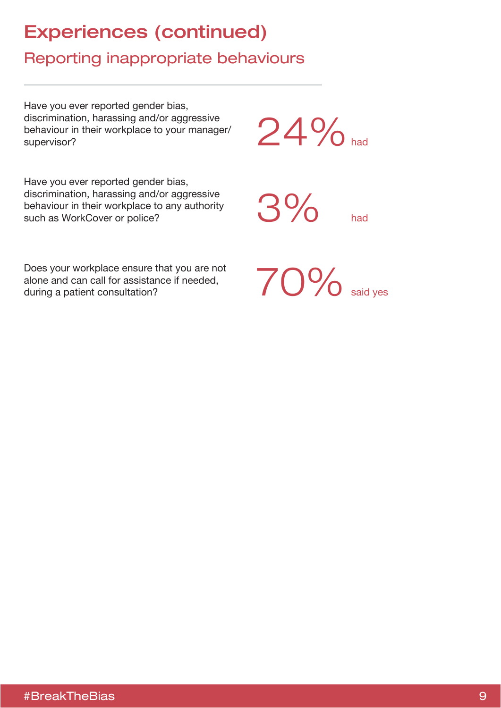### Experiences (continued)

### Reporting inappropriate behaviours

Have you ever reported gender bias, discrimination, harassing and/or aggressive behaviour in their workplace to your manager/ supervisor?

Have you ever reported gender bias, discrimination, harassing and/or aggressive behaviour in their workplace to any authority such as WorkCover or police?

Does your workplace ensure that you are not alone and can call for assistance if needed, during a patient consultation?

24% had

3%

70% said yes

had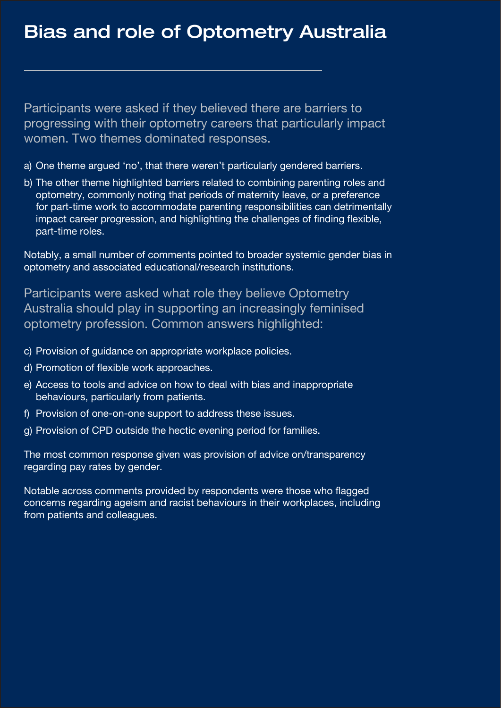### Bias and role of Optometry Australia

Participants were asked if they believed there are barriers to progressing with their optometry careers that particularly impact women. Two themes dominated responses.

a) One theme argued 'no', that there weren't particularly gendered barriers.

b) The other theme highlighted barriers related to combining parenting roles and optometry, commonly noting that periods of maternity leave, or a preference for part-time work to accommodate parenting responsibilities can detrimentally impact career progression, and highlighting the challenges of finding flexible, part-time roles.

Notably, a small number of comments pointed to broader systemic gender bias in optometry and associated educational/research institutions.

Participants were asked what role they believe Optometry Australia should play in supporting an increasingly feminised optometry profession. Common answers highlighted:

- c) Provision of guidance on appropriate workplace policies.
- d) Promotion of flexible work approaches.
- e) Access to tools and advice on how to deal with bias and inappropriate behaviours, particularly from patients.
- f) Provision of one-on-one support to address these issues.
- g) Provision of CPD outside the hectic evening period for families.

The most common response given was provision of advice on/transparency regarding pay rates by gender.

Notable across comments provided by respondents were those who flagged concerns regarding ageism and racist behaviours in their workplaces, including from patients and colleagues.